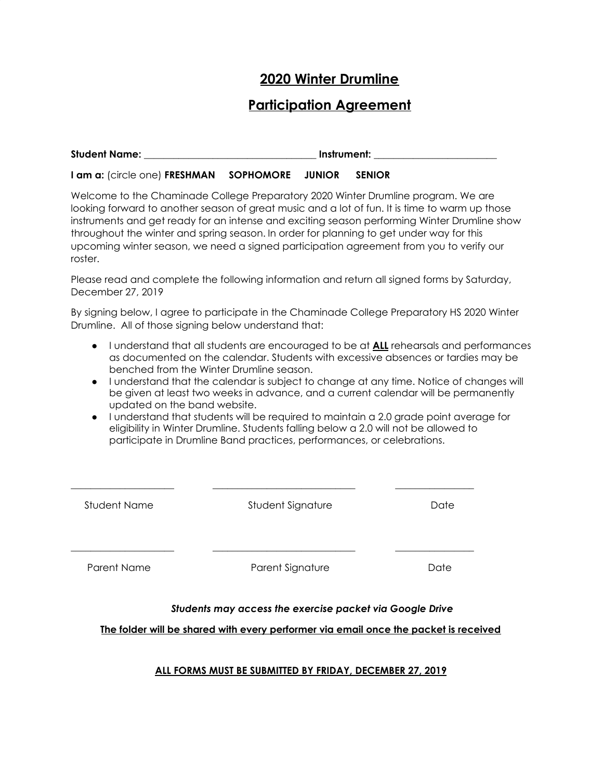## **2020 Winter Drumline**

## **Participation Agreement**

| <b>Student Name:</b> | Instrument: |
|----------------------|-------------|
|                      |             |

**I am a:** (circle one) **FRESHMAN SOPHOMORE JUNIOR SENIOR**

Welcome to the Chaminade College Preparatory 2020 Winter Drumline program. We are looking forward to another season of great music and a lot of fun. It is time to warm up those instruments and get ready for an intense and exciting season performing Winter Drumline show throughout the winter and spring season. In order for planning to get under way for this upcoming winter season, we need a signed participation agreement from you to verify our roster.

Please read and complete the following information and return all signed forms by Saturday, December 27, 2019

By signing below, I agree to participate in the Chaminade College Preparatory HS 2020 Winter Drumline. All of those signing below understand that:

- I understand that all students are encouraged to be at **ALL** rehearsals and performances as documented on the calendar. Students with excessive absences or tardies may be benched from the Winter Drumline season.
- I understand that the calendar is subject to change at any time. Notice of changes will be given at least two weeks in advance, and a current calendar will be permanently updated on the band website.
- I understand that students will be required to maintain a 2.0 grade point average for eligibility in Winter Drumline. Students falling below a 2.0 will not be allowed to participate in Drumline Band practices, performances, or celebrations.

| Student Name | Student Signature | Date |
|--------------|-------------------|------|
| Parent Name  | Parent Signature  | Date |

#### *Students may access the exercise packet via Google Drive*

**The folder will be shared with every performer via email once the packet is received**

#### **ALL FORMS MUST BE SUBMITTED BY FRIDAY, DECEMBER 27, 2019**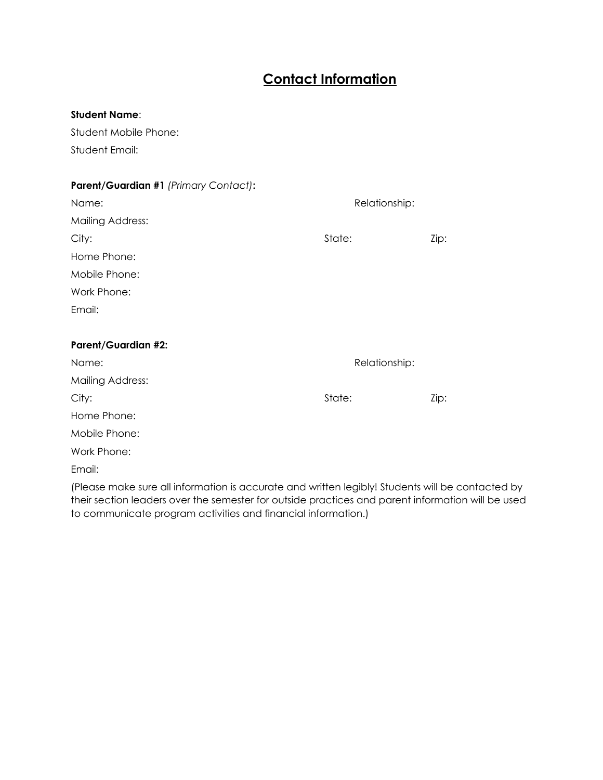# **Contact Information**

#### **Student Name**:

Student Mobile Phone: Student Email:

#### **Parent/Guardian #1** *(Primary Contact)***:**

| Name:                      | Relationship: |      |
|----------------------------|---------------|------|
| <b>Mailing Address:</b>    |               |      |
| City:                      | State:        | Zip: |
| Home Phone:                |               |      |
| Mobile Phone:              |               |      |
| Work Phone:                |               |      |
| Email:                     |               |      |
|                            |               |      |
| <b>Parent/Guardian #2:</b> |               |      |
| Name:                      | Relationship: |      |
| <b>Mailing Address:</b>    |               |      |
| City:                      | State:        | Zip: |
| Home Phone:                |               |      |
| Mobile Phone:              |               |      |
| Work Phone:                |               |      |
|                            |               |      |

(Please make sure all information is accurate and written legibly! Students will be contacted by their section leaders over the semester for outside practices and parent information will be used to communicate program activities and financial information.)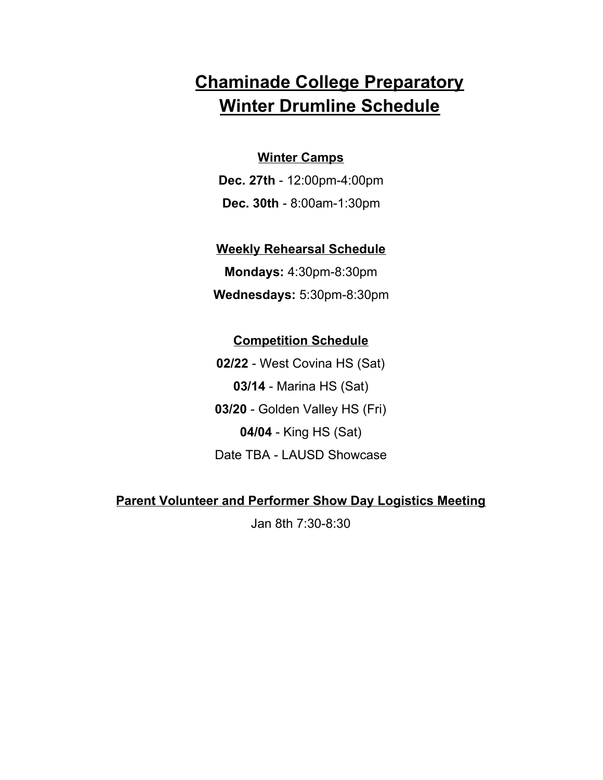# **Chaminade College Preparatory Winter Drumline Schedule**

#### **Winter Camps**

**Dec. 27th** - 12:00pm-4:00pm **Dec. 30th** - 8:00am-1:30pm

#### **Weekly Rehearsal Schedule**

**Mondays:** 4:30pm-8:30pm **Wednesdays:** 5:30pm-8:30pm

### **Competition Schedule**

**02/22** - West Covina HS (Sat) **03/14** - Marina HS (Sat) **03/20** - Golden Valley HS (Fri) **04/04** - King HS (Sat) Date TBA - LAUSD Showcase

### **Parent Volunteer and Performer Show Day Logistics Meeting**

Jan 8th 7:30-8:30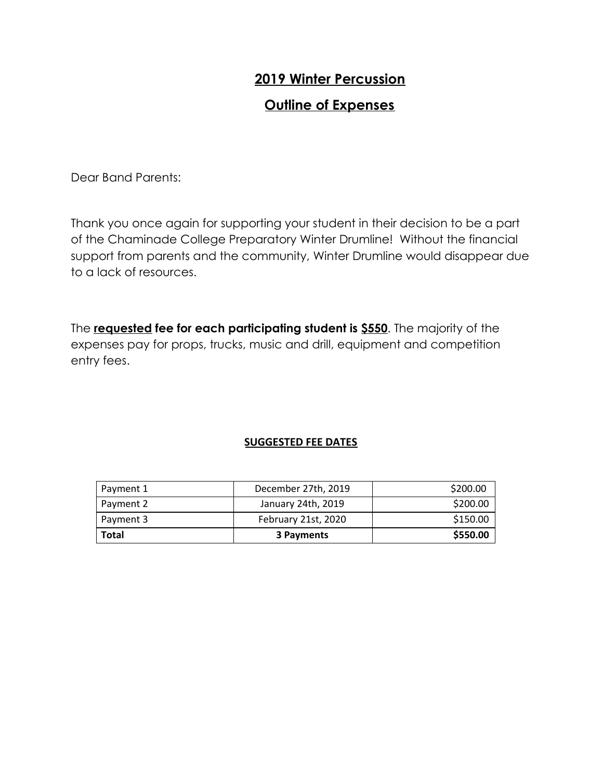# **2019 Winter Percussion**

## **Outline of Expenses**

Dear Band Parents:

Thank you once again for supporting your student in their decision to be a part of the Chaminade College Preparatory Winter Drumline! Without the financial support from parents and the community, Winter Drumline would disappear due to a lack of resources.

The **requested fee for each participating student is \$550**. The majority of the expenses pay for props, trucks, music and drill, equipment and competition entry fees.

#### **SUGGESTED FEE DATES**

| Payment 1    | December 27th, 2019 | \$200.00 |
|--------------|---------------------|----------|
| Payment 2    | January 24th, 2019  | \$200.00 |
| Payment 3    | February 21st, 2020 | \$150.00 |
| <b>Total</b> | 3 Payments          | \$550.00 |